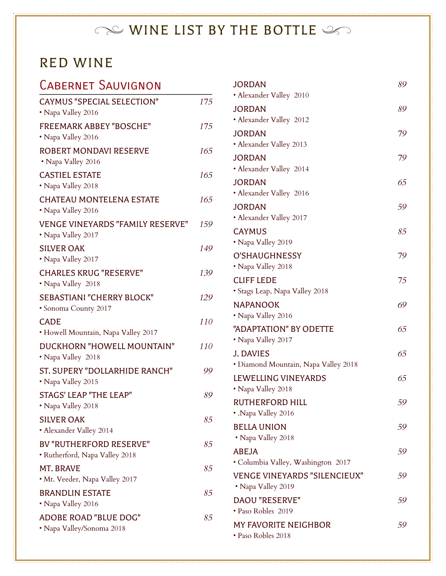# $\infty$  WINE LIST BY THE BOTTLE  $\infty$

#### RED WINE

#### Cabernet Sauvignon

| <b>CAYMUS "SPECIAL SELECTION"</b><br>• Napa Valley 2016          | 175 |
|------------------------------------------------------------------|-----|
| <b>FREEMARK ABBEY "BOSCHE"</b><br>• Napa Valley 2016             | 175 |
| <b>ROBERT MONDAVI RESERVE</b><br>• Napa Valley 2016              | 165 |
| <b>CASTIEL ESTATE</b><br>• Napa Valley 2018                      | 165 |
| <b>CHATEAU MONTELENA ESTATE</b><br>• Napa Valley 2016            | 165 |
| <b>VENGE VINEYARDS "FAMILY RESERVE"</b><br>• Napa Valley 2017    | 159 |
| <b>SILVER OAK</b><br>• Napa Valley 2017                          | 149 |
| <b>CHARLES KRUG "RESERVE"</b><br>• Napa Valley 2018              | 139 |
| <b>SEBASTIANI "CHERRY BLOCK"</b><br>• Sonoma County 2017         | 129 |
| <b>CADE</b><br>• Howell Mountain, Napa Valley 2017               | 110 |
| DUCKHORN "HOWELL MOUNTAIN"<br>• Napa Valley 2018                 | 110 |
| ST. SUPERY "DOLLARHIDE RANCH"<br>• Napa Valley 2015              | 99  |
| <b>STAGS' LEAP "THE LEAP"</b><br>• Napa Valley 2018              | 89  |
| <b>SILVER OAK</b><br>• Alexander Valley 2014                     | 85  |
| <b>BV "RUTHERFORD RESERVE"</b><br>· Rutherford, Napa Valley 2018 | 85  |
| <b>MT. BRAVE</b><br>• Mt. Veeder, Napa Valley 2017               | 85  |
| <b>BRANDLIN ESTATE</b><br>• Napa Valley 2016                     | 85  |
| ADOBE ROAD "BLUE DOG"<br>• Napa Valley/Sonoma 2018               | 85  |

| <b>JORDAN</b><br>· Alexander Valley 2010                  | 89 |
|-----------------------------------------------------------|----|
| <b>JORDAN</b>                                             | 89 |
| • Alexander Valley 2012                                   |    |
| <b>JORDAN</b>                                             | 79 |
| • Alexander Valley 2013                                   |    |
| <b>JORDAN</b>                                             | 79 |
| · Alexander Valley 2014                                   |    |
| <b>JORDAN</b>                                             | 65 |
| · Alexander Valley 2016                                   |    |
| <b>JORDAN</b><br>· Alexander Valley 2017                  | 59 |
| <b>CAYMUS</b>                                             | 85 |
| • Napa Valley 2019                                        |    |
| <b>O'SHAUGHNESSY</b>                                      | 79 |
| • Napa Valley 2018                                        |    |
| <b>CLIFF LEDE</b>                                         | 75 |
| • Stags Leap, Napa Valley 2018                            |    |
| <b>NAPANOOK</b>                                           | 69 |
| • Napa Valley 2016                                        |    |
| "ADAPTATION" BY ODETTE                                    | 65 |
| • Napa Valley 2017                                        |    |
| J. DAVIES                                                 | 65 |
| · Diamond Mountain, Napa Valley 2018                      |    |
| <b>LEWELLING VINEYARDS</b><br>• Napa Valley 2018          | 65 |
| <b>RUTHERFORD HILL</b>                                    | 59 |
| • .Napa Valley 2016                                       |    |
| <b>BELLA UNION</b>                                        | 59 |
| • Napa Valley 2018                                        |    |
| <b>ABEJA</b>                                              | 59 |
| • Columbia Valley, Washington 2017                        |    |
| <b>VENGE VINEYARDS "SILENCIEUX"</b><br>• Napa Valley 2019 | 59 |
| <b>DAOU "RESERVE"</b>                                     | 59 |
| · Paso Robles 2019                                        |    |
| <b>MY FAVORITE NEIGHBOR</b><br>· Paso Robles 2018         | 59 |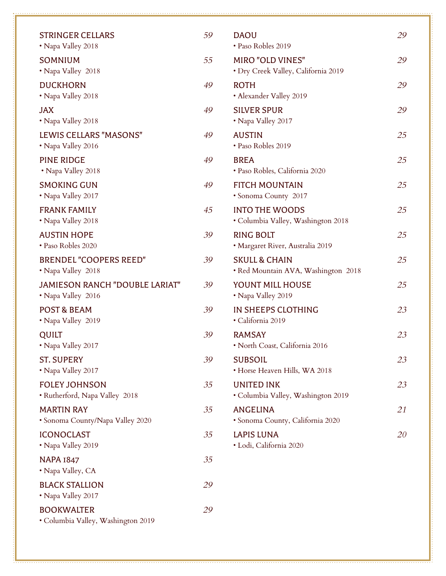| <b>STRINGER CELLARS</b><br>• Napa Valley 2018           | 59 | <b>DAOU</b><br>· Paso Robles 2019                               | 29 |
|---------------------------------------------------------|----|-----------------------------------------------------------------|----|
| <b>SOMNIUM</b><br>• Napa Valley 2018                    | 55 | <b>MIRO "OLD VINES"</b><br>· Dry Creek Valley, California 2019  | 29 |
| <b>DUCKHORN</b><br>• Napa Valley 2018                   | 49 | <b>ROTH</b><br>• Alexander Valley 2019                          | 29 |
| <b>JAX</b><br>• Napa Valley 2018                        | 49 | <b>SILVER SPUR</b><br>• Napa Valley 2017                        | 29 |
| LEWIS CELLARS "MASONS"<br>• Napa Valley 2016            | 49 | <b>AUSTIN</b><br>• Paso Robles 2019                             | 25 |
| <b>PINE RIDGE</b><br>• Napa Valley 2018                 | 49 | <b>BREA</b><br>· Paso Robles, California 2020                   | 25 |
| <b>SMOKING GUN</b><br>• Napa Valley 2017                | 49 | <b>FITCH MOUNTAIN</b><br>· Sonoma County 2017                   | 25 |
| <b>FRANK FAMILY</b><br>• Napa Valley 2018               | 45 | <b>INTO THE WOODS</b><br>· Columbia Valley, Washington 2018     | 25 |
| <b>AUSTIN HOPE</b><br>· Paso Robles 2020                | 39 | <b>RING BOLT</b><br>• Margaret River, Australia 2019            | 25 |
| <b>BRENDEL "COOPERS REED"</b><br>• Napa Valley 2018     | 39 | <b>SKULL &amp; CHAIN</b><br>• Red Mountain AVA, Washington 2018 | 25 |
| JAMIESON RANCH "DOUBLE LARIAT"<br>• Napa Valley 2016    | 39 | YOUNT MILL HOUSE<br>• Napa Valley 2019                          | 25 |
| <b>POST &amp; BEAM</b><br>· Napa Valley 2019            | 39 | IN SHEEPS CLOTHING<br>· California 2019                         | 23 |
| <b>QUILT</b><br>• Napa Valley 2017                      | 39 | <b>RAMSAY</b><br>· North Coast, California 2016                 | 23 |
| <b>ST. SUPERY</b><br>• Napa Valley 2017                 | 39 | <b>SUBSOIL</b><br>· Horse Heaven Hills, WA 2018                 | 23 |
| <b>FOLEY JOHNSON</b><br>· Rutherford, Napa Valley 2018  | 35 | <b>UNITED INK</b><br>· Columbia Valley, Washington 2019         | 23 |
| <b>MARTIN RAY</b><br>· Sonoma County/Napa Valley 2020   | 35 | <b>ANGELINA</b><br>· Sonoma County, California 2020             | 21 |
| <b>ICONOCLAST</b><br>• Napa Valley 2019                 | 35 | <b>LAPIS LUNA</b><br>· Lodi, California 2020                    | 20 |
| <b>NAPA 1847</b><br>• Napa Valley, CA                   | 35 |                                                                 |    |
| <b>BLACK STALLION</b><br>• Napa Valley 2017             | 29 |                                                                 |    |
| <b>BOOKWALTER</b><br>· Columbia Valley, Washington 2019 | 29 |                                                                 |    |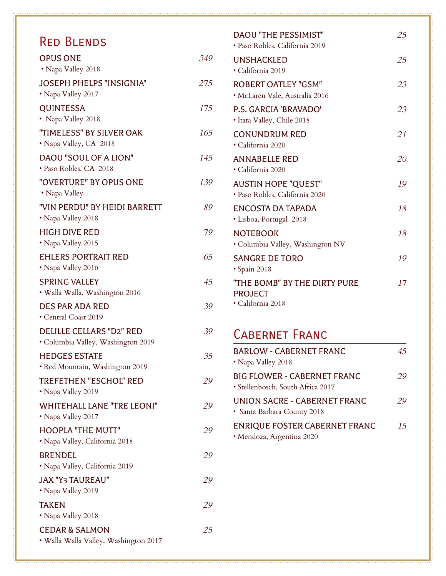#### Red Blends

| <b>OPUS ONE</b><br>• Napa Valley 2018                                 | 349 |
|-----------------------------------------------------------------------|-----|
| <b>JOSEPH PHELPS "INSIGNIA"</b><br>• Napa Valley 2017                 | 275 |
| <b>QUINTESSA</b><br>• Napa Valley 2018                                | 175 |
| "TIMELESS" BY SILVER OAK<br>• Napa Valley, CA 2018                    | 165 |
| <b>DAOU "SOUL OF A LION"</b><br>· Paso Robles, CA 2018                | 145 |
| "OVERTURE" BY OPUS ONE<br>• Napa Valley                               | 139 |
| "VIN PERDU" BY HEIDI BARRETT<br>• Napa Valley 2018                    | 89  |
| <b>HIGH DIVE RED</b><br>• Napa Valley 2015                            | 79  |
| <b>EHLERS PORTRAIT RED</b><br>• Napa Valley 2016                      | 65  |
| <b>SPRING VALLEY</b><br>• Walla Walla, Washington 2016                | 45  |
| <b>DES PAR ADA RED</b><br>• Central Coast 2019                        | 39  |
| <b>DELILLE CELLARS "D2" RED</b><br>· Columbia Valley, Washington 2019 | 39  |
| <b>HEDGES ESTATE</b><br>• Red Mountain, Washington 2019               | 35  |
| TREFETHEN "ESCHOL" RED<br>• Napa Valley 2019                          | 29  |
| <b>WHITEHALL LANE "TRE LEONI"</b><br>• Napa Valley 2017               | 29  |
| <b>HOOPLA "THE MUTT"</b><br>• Napa Valley, California 2018            | 29  |
| <b>BRENDEL</b><br>· Napa Valley, California 2019                      | 29  |
| <b>JAX "Y3 TAUREAU"</b><br>• Napa Valley 2019                         | 29  |
| <b>TAKEN</b><br>• Napa Valley 2018                                    | 29  |
| <b>CEDAR &amp; SALMON</b><br>· Walla Walla Valley, Washington 2017    | 25  |

| <b>DAOU "THE PESSIMIST"</b><br>· Paso Robles, California 2019       | 25 |
|---------------------------------------------------------------------|----|
| <b>UNSHACKLED</b><br>· California 2019                              | 25 |
| <b>ROBERT OATLEY "GSM"</b><br>· McLaren Vale, Australia 2016        | 23 |
| P.S. GARCIA 'BRAVADO'<br>• Itata Valley, Chile 2018                 | 23 |
| <b>CONUNDRUM RED</b><br>· California 2020                           | 21 |
| <b>ANNABELLE RED</b><br>· California 2020                           | 20 |
| <b>AUSTIN HOPE "QUEST"</b><br>· Paso Robles, California 2020        | 19 |
| <b>ENCOSTA DA TAPADA</b><br>• Lisboa, Portugal 2018                 | 18 |
| <b>NOTEBOOK</b><br>• Columbia Valley, Washington NV                 | 18 |
| <b>SANGRE DE TORO</b><br>· Spain 2018                               | 19 |
| "THE BOMB" BY THE DIRTY PURE<br><b>PROJECT</b><br>· California 2018 | 17 |

#### Cabernet Franc

| <b>BARLOW - CABERNET FRANC</b><br>• Napa Valley 2018                    | 45 |
|-------------------------------------------------------------------------|----|
| <b>BIG FLOWER - CABERNET FRANC</b><br>· Stellenbosch, South Africa 2017 | 29 |
| <b>UNION SACRE - CABERNET FRANC</b><br>· Santa Barbara County 2018      | 29 |
| <b>ENRIQUE FOSTER CABERNET FRANC</b>                                    | 15 |

• Mendoza, Argentina 2020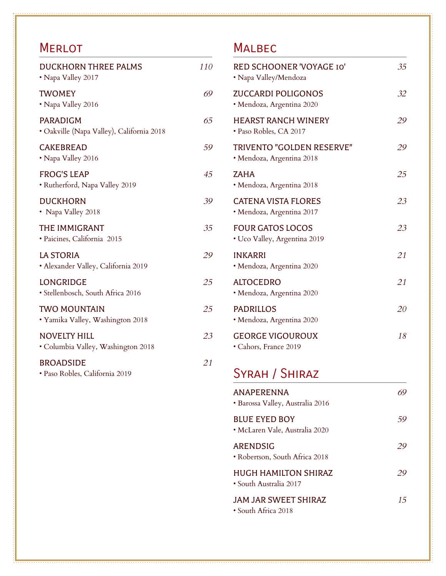### **MERLOT**

| <b>DUCKHORN THREE PALMS</b><br>• Napa Valley 2017            | 110 |
|--------------------------------------------------------------|-----|
| <b>TWOMEY</b><br>• Napa Valley 2016                          | 69  |
| <b>PARADIGM</b><br>· Oakville (Napa Valley), California 2018 | 65  |
| <b>CAKEBREAD</b><br>• Napa Valley 2016                       | 59  |
| <b>FROG'S LEAP</b><br>· Rutherford, Napa Valley 2019         | 45  |
| <b>DUCKHORN</b><br>• Napa Valley 2018                        | 39  |
| THE IMMIGRANT<br>· Paicines, California 2015                 | 35  |
| <b>LA STORIA</b><br>· Alexander Valley, California 2019      | 29  |
| <b>LONGRIDGE</b><br>· Stellenbosch, South Africa 2016        | 25  |
| <b>TWO MOUNTAIN</b><br>· Yamika Valley, Washington 2018      | 25  |
| <b>NOVELTY HILL</b><br>· Columbia Valley, Washington 2018    | 23  |
| <b>BROADSIDE</b><br>· Paso Robles, California 2019           | 21  |

#### **MALBEC**

| RED SCHOONER 'VOYAGE IO'<br>• Napa Valley/Mendoza       | 35 |
|---------------------------------------------------------|----|
| <b>ZUCCARDI POLIGONOS</b><br>• Mendoza, Argentina 2020  | 32 |
| <b>HEARST RANCH WINERY</b><br>• Paso Robles, CA 2017    | 29 |
| TRIVENTO "GOLDEN RESERVE"<br>· Mendoza, Argentina 2018  | 29 |
| <b>ZAHA</b><br>• Mendoza, Argentina 2018                | 25 |
| <b>CATENA VISTA FLORES</b><br>• Mendoza, Argentina 2017 | 23 |
| <b>FOUR GATOS LOCOS</b><br>• Uco Valley, Argentina 2019 | 23 |
| <b>INKARRI</b><br>· Mendoza, Argentina 2020             | 21 |
| <b>ALTOCEDRO</b><br>• Mendoza, Argentina 2020           | 21 |
| <b>PADRILLOS</b><br>· Mendoza, Argentina 2020           | 20 |
| <b>GEORGE VIGOUROUX</b><br>• Cahors, France 2019        | 18 |
| SYRAH / SHIRAZ                                          |    |
| <b>ANAPERENNA</b><br>· Barossa Valley, Australia 2016   | 69 |
| <b>BLUE EYED BOY</b><br>· McLaren Vale, Australia 2020  | 59 |
| <b>ARENDSIG</b><br>• Robertson, South Africa 2018       | 29 |
| <b>HUGH HAMILTON SHIRAZ</b><br>• South Australia 2017   | 29 |
| <b>JAM JAR SWEET SHIRAZ</b><br>• South Africa 2018      | 15 |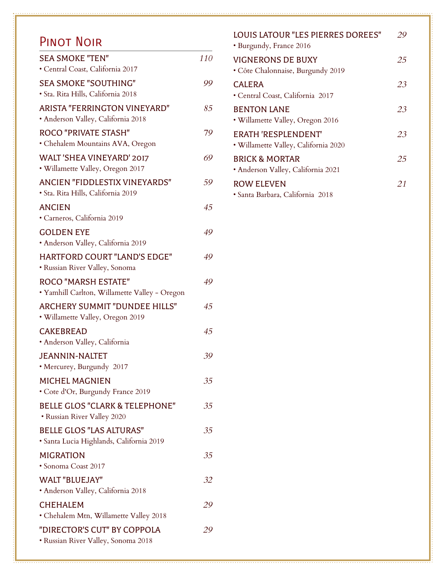#### Pinot Noir

| <b>SEA SMOKE "TEN"</b><br>· Central Coast, California 2017                  | 110 |
|-----------------------------------------------------------------------------|-----|
| <b>SEA SMOKE "SOUTHING"</b><br>· Sta. Rita Hills, California 2018           | 99  |
| <b>ARISTA "FERRINGTON VINEYARD"</b><br>· Anderson Valley, California 2018   | 85  |
| <b>ROCO "PRIVATE STASH"</b><br>· Chehalem Mountains AVA, Oregon             | 79  |
| <b>WALT 'SHEA VINEYARD' 2017</b><br>• Willamette Valley, Oregon 2017        | 69  |
| ANCIEN "FIDDLESTIX VINEYARDS"<br>· Sta. Rita Hills, California 2019         | 59  |
| <b>ANCIEN</b><br>· Carneros, California 2019                                | 45  |
| <b>GOLDEN EYE</b><br>· Anderson Valley, California 2019                     | 49  |
| <b>HARTFORD COURT "LAND'S EDGE"</b><br>· Russian River Valley, Sonoma       | 49  |
| <b>ROCO "MARSH ESTATE"</b><br>· Yamhill Carlton, Willamette Valley - Oregon | 49  |
| <b>ARCHERY SUMMIT "DUNDEE HILLS"</b><br>• Willamette Valley, Oregon 2019    | 45  |
| <b>CAKEBREAD</b><br>· Anderson Valley, California                           | 45  |
| <b>JEANNIN-NALTET</b><br>• Mercurey, Burgundy 2017                          | 39  |
| <b>MICHEL MAGNIEN</b><br>• Cote d'Or, Burgundy France 2019                  | 35  |
| <b>BELLE GLOS "CLARK &amp; TELEPHONE"</b><br>· Russian River Valley 2020    | 35  |
| <b>BELLE GLOS "LAS ALTURAS"</b><br>· Santa Lucia Highlands, California 2019 | 35  |
| <b>MIGRATION</b><br>· Sonoma Coast 2017                                     | 35  |
| <b>WALT "BLUEJAY"</b><br>· Anderson Valley, California 2018                 | 32  |
| <b>CHEHALEM</b><br>• Chehalem Mtn, Willamette Valley 2018                   | 29  |
| "DIRECTOR'S CUT" BY COPPOLA<br>· Russian River Valley, Sonoma 2018          | 29  |

| LOUIS LATOUR "LES PIERRES DOREES"<br>• Burgundy, France 2016       | 29 |
|--------------------------------------------------------------------|----|
| <b>VIGNERONS DE BUXY</b><br>• Côte Chalonnaise, Burgundy 2019      | 25 |
| CALERA<br>• Central Coast, California 2017                         | 23 |
| <b>BENTON LANE</b><br>• Willamette Valley, Oregon 2016             | 23 |
| <b>ERATH 'RESPLENDENT'</b><br>· Willamette Valley, California 2020 | 23 |
| BRICK & MORTAR<br>· Anderson Valley, California 2021               | 25 |
| ROW ELEVEN<br>· Santa Barbara, California 2018                     | 21 |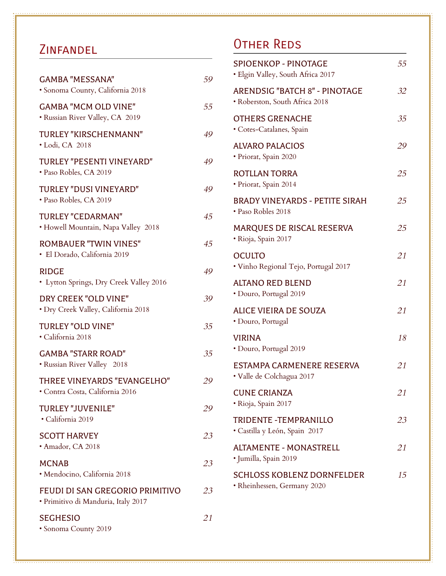#### **ZINFANDEL**

| <b>GAMBA "MESSANA"</b><br>· Sonoma County, California 2018             | 59 |
|------------------------------------------------------------------------|----|
| <b>GAMBA "MCM OLD VINE"</b><br>· Russian River Valley, CA 2019         | 55 |
| TURLEY "KIRSCHENMANN"<br>• Lodi, CA 2018                               | 49 |
| TURLEY "PESENTI VINEYARD"<br>· Paso Robles, CA 2019                    | 49 |
| <b>TURLEY "DUSI VINEYARD"</b><br>· Paso Robles, CA 2019                | 49 |
| <b>TURLEY "CEDARMAN"</b><br>• Howell Mountain, Napa Valley 2018        | 45 |
| <b>ROMBAUER "TWIN VINES"</b><br>· El Dorado, California 2019           | 45 |
| <b>RIDGE</b><br>• Lytton Springs, Dry Creek Valley 2016                | 49 |
| DRY CREEK "OLD VINE"<br>· Dry Creek Valley, California 2018            | 39 |
| <b>TURLEY "OLD VINE"</b><br>· California 2018                          | 35 |
| <b>GAMBA "STARR ROAD"</b><br>• Russian River Valley 2018               | 35 |
| THREE VINEYARDS "EVANGELHO"<br>· Contra Costa, California 2016         | 29 |
| <b>TURLEY "JUVENILE"</b><br>· California 2019                          | 29 |
| <b>SCOTT HARVEY</b><br>· Amador, CA 2018                               | 23 |
| <b>MCNAB</b><br>· Mendocino, California 2018                           | 23 |
| FEUDI DI SAN GREGORIO PRIMITIVO<br>· Primitivo di Manduria, Italy 2017 | 23 |
| <b>SEGHESIO</b><br>• Sonoma County 2019                                | 21 |

### Other Reds

| <b>SPIOENKOP - PINOTAGE</b><br>· Elgin Valley, South Africa 2017       | 55 |
|------------------------------------------------------------------------|----|
| <b>ARENDSIG "BATCH 8" - PINOTAGE</b><br>· Roberston, South Africa 2018 | 32 |
| <b>OTHERS GRENACHE</b><br>• Cotes-Catalanes, Spain                     | 35 |
| <b>ALVARO PALACIOS</b><br>· Priorat, Spain 2020                        | 29 |
| <b>ROTLLAN TORRA</b><br>· Priorat, Spain 2014                          | 25 |
| <b>BRADY VINEYARDS - PETITE SIRAH</b><br>• Paso Robles 2018            | 25 |
| MARQUES DE RISCAL RESERVA<br>· Rioja, Spain 2017                       | 25 |
| <b>OCULTO</b><br>· Vinho Regional Tejo, Portugal 2017                  | 21 |
| <b>ALTANO RED BLEND</b><br>• Douro, Portugal 2019                      | 21 |
| ALICE VIEIRA DE SOUZA<br>· Douro, Portugal                             | 21 |
| <b>VIRINA</b><br>· Douro, Portugal 2019                                | 18 |
| ESTAMPA CARMENERE RESERVA<br>· Valle de Colchagua 2017                 | 21 |
| <b>CUNE CRIANZA</b><br>· Rioja, Spain 2017                             | 21 |
| <b>TRIDENTE - TEMPRANILLO</b><br>· Castilla y León, Spain 2017         | 23 |
| <b>ALTAMENTE - MONASTRELL</b><br>· Jumilla, Spain 2019                 | 21 |
| <b>SCHLOSS KOBLENZ DORNFELDER</b><br>· Rheinhessen, Germany 2020       | 15 |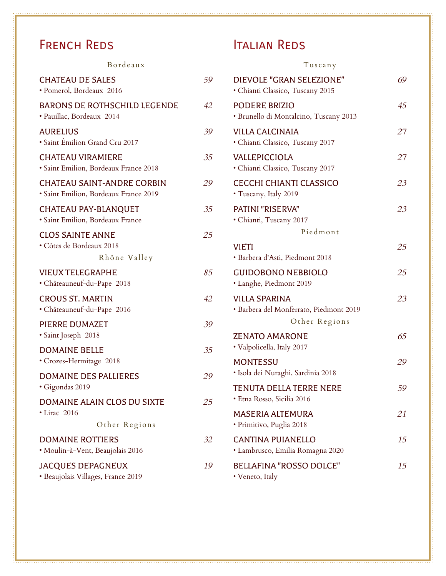# FRENCH REDS

| Bordeaux                                                                   |    |
|----------------------------------------------------------------------------|----|
| <b>CHATEAU DE SALES</b><br>· Pomerol, Bordeaux 2016                        | 59 |
| <b>BARONS DE ROTHSCHILD LEGENDE</b><br>· Pauillac, Bordeaux 2014           | 42 |
| <b>AURELIUS</b><br>· Saint Émilion Grand Cru 2017                          | 39 |
| <b>CHATEAU VIRAMIERE</b><br>· Saint Emilion, Bordeaux France 2018          | 35 |
| <b>CHATEAU SAINT-ANDRE CORBIN</b><br>· Saint Emilion, Bordeaux France 2019 | 29 |
| <b>CHATEAU PAY-BLANQUET</b><br>· Saint Emilion, Bordeaux France            | 35 |
| <b>CLOS SAINTE ANNE</b><br>· Côtes de Bordeaux 2018<br>Rhône Valley        | 25 |
| <b>VIEUX TELEGRAPHE</b><br>• Châteauneuf-du-Pape 2018                      | 85 |
| <b>CROUS ST. MARTIN</b><br>· Châteauneuf-du-Pape 2016                      | 42 |
| PIERRE DUMAZET<br>· Saint Joseph 2018                                      | 39 |
| <b>DOMAINE BELLE</b><br>· Crozes-Hermitage 2018                            | 35 |
| <b>DOMAINE DES PALLIERES</b><br>· Gigondas 2019                            | 29 |
| DOMAINE ALAIN CLOS DU SIXTE<br>· Lirac 2016                                | 25 |
| Other Regions                                                              |    |
| <b>DOMAINE ROTTIERS</b><br>· Moulin-à-Vent, Beaujolais 2016                | 32 |
| <b>JACQUES DEPAGNEUX</b><br>· Beaujolais Villages, France 2019             | 19 |

# Italian Reds

Tuscany

| DIEVOLE "GRAN SELEZIONE"<br>· Chianti Classico, Tuscany 2015                     | 69 |
|----------------------------------------------------------------------------------|----|
| <b>PODERE BRIZIO</b><br>· Brunello di Montalcino, Tuscany 2013                   | 45 |
| <b>VILLA CALCINAIA</b><br>· Chianti Classico, Tuscany 2017                       | 27 |
| <b>VALLEPICCIOLA</b><br>• Chianti Classico, Tuscany 2017                         | 27 |
| CECCHI CHIANTI CLASSICO<br>• Tuscany, Italy 2019                                 | 23 |
| PATINI "RISERVA"<br>· Chianti, Tuscany 2017                                      | 23 |
| Piedmont                                                                         |    |
| <b>VIETI</b><br>· Barbera d'Asti, Piedmont 2018                                  | 25 |
| <b>GUIDOBONO NEBBIOLO</b><br>• Langhe, Piedmont 2019                             | 25 |
| <b>VILLA SPARINA</b><br>· Barbera del Monferrato, Piedmont 2019<br>Other Regions | 23 |
| <b>ZENATO AMARONE</b><br>· Valpolicella, Italy 2017                              | 65 |
| <b>MONTESSU</b><br>• Isola dei Nuraghi, Sardinia 2018                            | 29 |
| <b>TENUTA DELLA TERRE NERE</b><br>Etna Rosso, Sicilia 2016                       | 59 |
| MASERIA ALTEMURA<br>· Primitivo, Puglia 2018                                     | 21 |
| <b>CANTINA PUIANELLO</b><br>· Lambrusco, Emilia Romagna 2020                     | 15 |
| <b>BELLAFINA "ROSSO DOLCE"</b><br>• Veneto, Italy                                | 15 |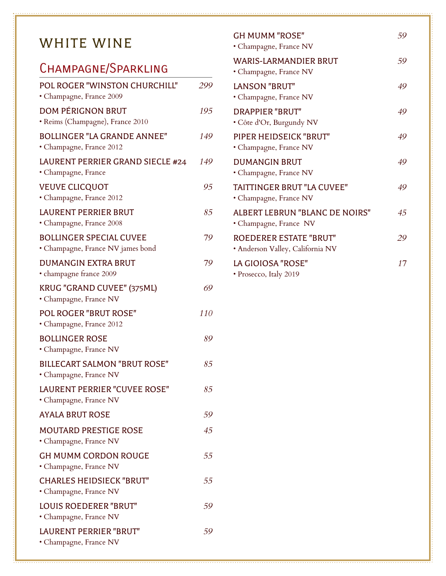# WHITE WINE

### Champagne/Sparkling

| POL ROGER "WINSTON CHURCHILL"<br>· Champagne, France 2009           | 299 |
|---------------------------------------------------------------------|-----|
| <b>DOM PÉRIGNON BRUT</b><br>· Reims (Champagne), France 2010        | 195 |
| <b>BOLLINGER "LA GRANDE ANNEE"</b><br>· Champagne, France 2012      | 149 |
| LAURENT PERRIER GRAND SIECLE #24<br>• Champagne, France             | 149 |
| <b>VEUVE CLICQUOT</b><br>· Champagne, France 2012                   | 95  |
| LAURENT PERRIER BRUT<br>· Champagne, France 2008                    | 85  |
| <b>BOLLINGER SPECIAL CUVEE</b><br>• Champagne, France NV james bond | 79  |
| <b>DUMANGIN EXTRA BRUT</b><br>· champagne france 2009               | 79  |
| KRUG "GRAND CUVEE" (375ML)<br>· Champagne, France NV                | 69  |
| <b>POL ROGER "BRUT ROSE"</b><br>• Champagne, France 2012            | 110 |
| <b>BOLLINGER ROSE</b><br>· Champagne, France NV                     | 89  |
| <b>BILLECART SALMON "BRUT ROSE"</b><br>· Champagne, France NV       | 85  |
| LAURENT PERRIER "CUVEE ROSE"<br>• Champagne, France NV              | 85  |
| <b>AYALA BRUT ROSE</b>                                              | 59  |
| <b>MOUTARD PRESTIGE ROSE</b><br>• Champagne, France NV              | 45  |
| <b>GH MUMM CORDON ROUGE</b><br>· Champagne, France NV               | 55  |
| <b>CHARLES HEIDSIECK "BRUT"</b><br>• Champagne, France NV           | 55  |
| <b>LOUIS ROEDERER "BRUT"</b><br>· Champagne, France NV              | 59  |
| <b>LAURENT PERRIER "BRUT"</b><br>• Champagne, France NV             | 59  |

| <b>GH MUMM "ROSE"</b><br>• Champagne, France NV                   | 59 |
|-------------------------------------------------------------------|----|
| <b>WARIS-LARMANDIER BRUT</b><br>• Champagne, France NV            | 59 |
| <b>LANSON "BRUT"</b><br>• Champagne, France NV                    | 49 |
| <b>DRAPPIER "BRUT"</b><br>• Côte d'Or, Burgundy NV                | 49 |
| PIPER HEIDSEICK "BRUT"<br>• Champagne, France NV                  | 49 |
| <b>DUMANGIN BRUT</b><br>• Champagne, France NV                    | 49 |
| TAITTINGER BRUT "LA CUVEE"<br>• Champagne, France NV              | 49 |
| ALBERT LEBRUN "BLANC DE NOIRS"<br>· Champagne, France NV          | 45 |
| <b>ROEDERER ESTATE "BRUT"</b><br>· Anderson Valley, California NV | 29 |
| LA GIOIOSA "ROSE"<br>· Prosecco, Italy 2019                       | 17 |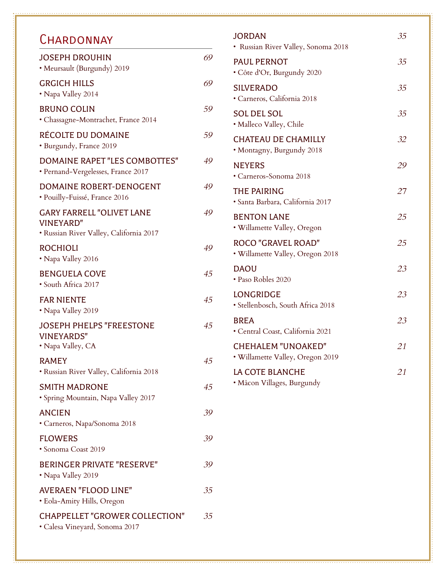#### **CHARDONNAY**

| <b>JOSEPH DROUHIN</b><br>· Meursault (Burgundy) 2019                                            | 69 |
|-------------------------------------------------------------------------------------------------|----|
| <b>GRGICH HILLS</b><br>• Napa Valley 2014                                                       | 69 |
| <b>BRUNO COLIN</b><br>• Chassagne-Montrachet, France 2014                                       | 59 |
| RÉCOLTE DU DOMAINE<br>· Burgundy, France 2019                                                   | 59 |
| DOMAINE RAPET "LES COMBOTTES"<br>• Pernand-Vergelesses, France 2017                             | 49 |
| DOMAINE ROBERT-DENOGENT<br>· Pouilly-Fuissé, France 2016                                        | 49 |
| <b>GARY FARRELL "OLIVET LANE</b><br><b>VINEYARD"</b><br>• Russian River Valley, California 2017 | 49 |
| <b>ROCHIOLI</b><br>• Napa Valley 2016                                                           | 49 |
| <b>BENGUELA COVE</b><br>· South Africa 2017                                                     | 45 |
| <b>FAR NIENTE</b><br>• Napa Valley 2019                                                         | 45 |
| <b>JOSEPH PHELPS "FREESTONE</b><br><b>VINEYARDS"</b><br>· Napa Valley, CA                       | 45 |
| <b>RAMEY</b><br>· Russian River Valley, California 2018                                         | 45 |
| <b>SMITH MADRONE</b><br>· Spring Mountain, Napa Valley 2017                                     | 45 |
| <b>ANCIEN</b><br>• Carneros, Napa/Sonoma 2018                                                   | 39 |
| <b>FLOWERS</b><br>· Sonoma Coast 2019                                                           | 39 |
| <b>BERINGER PRIVATE "RESERVE"</b><br>• Napa Valley 2019                                         | 39 |
| <b>AVERAEN "FLOOD LINE"</b><br>• Eola-Amity Hills, Oregon                                       | 35 |
| <b>CHAPPELLET "GROWER COLLECTION"</b><br>· Calesa Vineyard, Sonoma 2017                         | 35 |

#### JORDAN *35* • Russian River Valley, Sonoma 2018 PAUL PERNOT 35 • Côte d'Or, Burgundy 2020 SILVERADO *35* • Carneros, California 2018 SOL DEL SOL *35* • Malleco Valley, Chile CHATEAU DE CHAMILLY *32* • Montagny, Burgundy 2018 NEYERS *29* • Carneros-Sonoma 2018 THE PAIRING *27* • Santa Barbara, California 2017 BENTON LANE *25* • Willamette Valley, Oregon ROCO "GRAVEL ROAD" *25* • Willamette Valley, Oregon 2018 DAOU *23* • Paso Robles 2020 LONGRIDGE *23* • Stellenbosch, South Africa 2018 BREA *23* • Central Coast, California 2021 CHEHALEM "UNOAKED" *21* • Willamette Valley, Oregon 2019 LA COTE BLANCHE *21* • Mâcon Villages, Burgundy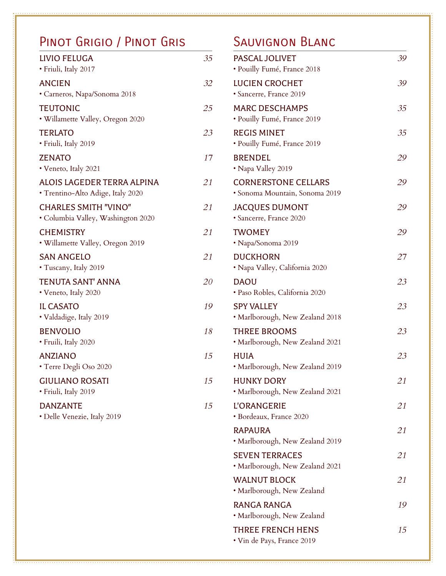#### PINOT GRIGIO / PINOT GRIS SAUVIGNON BLANC

| LIVIO FELUGA<br>· Friuli, Italy 2017                              | 35 |
|-------------------------------------------------------------------|----|
| <b>ANCIEN</b><br>• Carneros, Napa/Sonoma 2018                     | 32 |
| <b>TEUTONIC</b><br>• Willamette Valley, Oregon 2020               | 25 |
| <b>TERLATO</b><br>· Friuli, Italy 2019                            | 23 |
| <b>ZENATO</b><br>· Veneto, Italy 2021                             | 17 |
| ALOIS LAGEDER TERRA ALPINA<br>• Trentino-Alto Adige, Italy 2020   | 21 |
| <b>CHARLES SMITH "VINO"</b><br>· Columbia Valley, Washington 2020 | 21 |
| <b>CHEMISTRY</b><br>• Willamette Valley, Oregon 2019              | 21 |
| <b>SAN ANGELO</b><br>• Tuscany, Italy 2019                        | 21 |
| <b>TENUTA SANT' ANNA</b><br>• Veneto, Italy 2020                  | 20 |
| <b>IL CASATO</b><br>• Valdadige, Italy 2019                       | 19 |
| <b>BENVOLIO</b><br>· Fruili, Italy 2020                           | 18 |
| <b>ANZIANO</b><br>• Terre Degli Oso 2020                          | 15 |
| <b>GIULIANO ROSATI</b><br>· Friuli, Italy 2019                    | 15 |
| <b>DANZANTE</b><br>• Delle Venezie, Italy 2019                    | 15 |
|                                                                   |    |

| <b>PASCAL JOLIVET</b><br>· Pouilly Fumé, France 2018         | 39 |
|--------------------------------------------------------------|----|
| <b>LUCIEN CROCHET</b><br>· Sancerre, France 2019             | 39 |
| <b>MARC DESCHAMPS</b><br>· Pouilly Fumé, France 2019         | 35 |
| <b>REGIS MINET</b><br>· Pouilly Fumé, France 2019            | 35 |
| <b>BRENDEL</b><br>• Napa Valley 2019                         | 29 |
| <b>CORNERSTONE CELLARS</b><br>· Sonoma Mountain, Sonoma 2019 | 29 |
| <b>JACQUES DUMONT</b><br>· Sancerre, France 2020             | 29 |
| <b>TWOMEY</b><br>• Napa/Sonoma 2019                          | 29 |
| <b>DUCKHORN</b><br>• Napa Valley, California 2020            | 27 |
| <b>DAOU</b><br>· Paso Robles, California 2020                | 23 |
| <b>SPY VALLEY</b><br>• Marlborough, New Zealand 2018         | 23 |
| <b>THREE BROOMS</b><br>• Marlborough, New Zealand 2021       | 23 |
| <b>HUIA</b><br>• Marlborough, New Zealand 2019               | 23 |
| <b>HUNKY DORY</b><br>· Marlborough, New Zealand 2021         | 21 |
| <b>L'ORANGERIE</b><br>· Bordeaux, France 2020                | 21 |
| <b>RAPAURA</b><br>• Marlborough, New Zealand 2019            | 21 |
| <b>SEVEN TERRACES</b><br>• Marlborough, New Zealand 2021     | 21 |
| <b>WALNUT BLOCK</b><br>• Marlborough, New Zealand            | 21 |
| <b>RANGA RANGA</b><br>• Marlborough, New Zealand             | 19 |
| THREE FRENCH HENS<br>• Vin de Pays, France 2019              | 15 |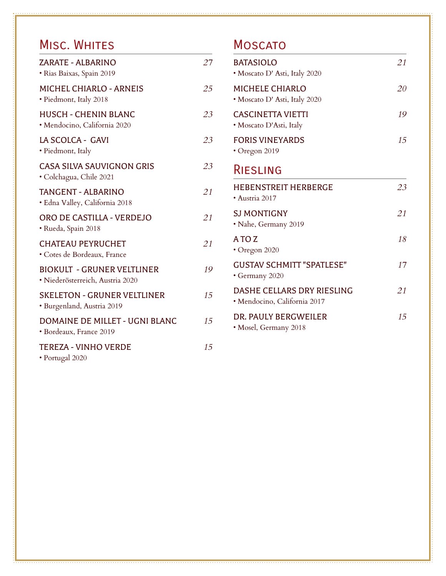#### MISC. WHITES

| ZARATE - ALBARINO<br>· Rias Baixas, Spain 2019                        | 27 |
|-----------------------------------------------------------------------|----|
| <b>MICHEL CHIARLO - ARNEIS</b><br>· Piedmont, Italy 2018              | 25 |
| <b>HUSCH - CHENIN BLANC</b><br>· Mendocino, California 2020           | 23 |
| LA SCOLCA - GAVI<br>• Piedmont, Italy                                 | 23 |
| <b>CASA SILVA SAUVIGNON GRIS</b><br>· Colchagua, Chile 2021           | 23 |
| <b>TANGENT - ALBARINO</b><br>· Edna Valley, California 2018           | 21 |
| ORO DE CASTILLA - VERDEJO<br>· Rueda, Spain 2018                      | 21 |
| <b>CHATEAU PEYRUCHET</b><br>• Cotes de Bordeaux, France               | 21 |
| <b>BIOKULT - GRUNER VELTLINER</b><br>· Niederösterreich, Austria 2020 | 19 |
| <b>SKELETON - GRUNER VELTLINER</b><br>· Burgenland, Austria 2019      | 15 |
| DOMAINE DE MILLET - UGNI BLANC<br>· Bordeaux, France 2019             | 15 |
| <b>TEREZA - VINHO VERDE</b><br>· Portugal 2020                        | 15 |

#### **MOSCATO**

| <b>BATASIOLO</b><br>• Moscato D' Asti, Italy 2020          | 21 |
|------------------------------------------------------------|----|
| <b>MICHELE CHIARLO</b><br>· Moscato D' Asti, Italy 2020    | 20 |
| <b>CASCINETTA VIETTI</b><br>• Moscato D'Asti, Italy        | 19 |
| <b>FORIS VINEYARDS</b><br>· Oregon 2019                    | 15 |
| RIESLING                                                   |    |
| <b>HEBENSTREIT HERBERGE</b><br>· Austria 2017              | 23 |
| <b>SJ MONTIGNY</b><br>• Nahe, Germany 2019                 | 21 |
| A TO Z<br>• Oregon 2020                                    | 18 |
| <b>GUSTAV SCHMITT "SPATLESE"</b><br>• Germany 2020         | 17 |
| DASHE CELLARS DRY RIESLING<br>· Mendocino, California 2017 | 21 |
| DR. PAULY BERGWEILER<br>• Mosel, Germany 2018              | 15 |
|                                                            |    |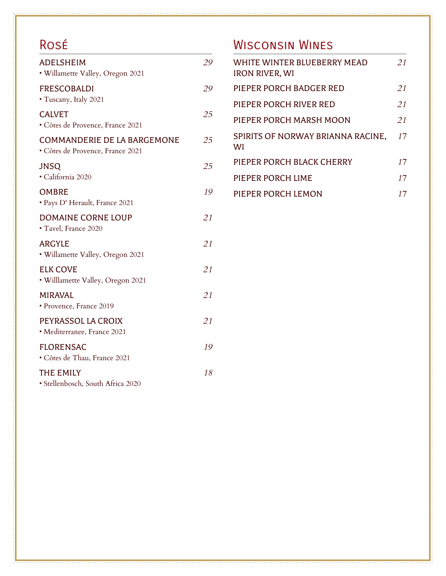# Rosé

| <b>ADELSHEIM</b><br>· Willamette Valley, Oregon 2021                   | 29 |
|------------------------------------------------------------------------|----|
| <b>FRESCOBALDI</b><br>• Tuscany, Italy 2021                            | 29 |
| <b>CALVET</b><br>· Côtes de Provence, France 2021                      | 25 |
| <b>COMMANDERIE DE LA BARGEMONE</b><br>• Côtes de Provence, France 2021 | 25 |
| <b>JNSQ</b><br>· California 2020                                       | 25 |
| <b>OMBRE</b><br>· Pays D' Herault, France 2021                         | 19 |
| <b>DOMAINE CORNE LOUP</b><br>· Tavel, France 2020                      | 21 |
| <b>ARGYLE</b><br>• Willamette Valley, Oregon 2021                      | 21 |
| <b>ELK COVE</b><br>· Willlamette Valley, Oregon 2021                   | 21 |
| <b>MIRAVAL</b><br>· Provence, France 2019                              | 21 |
| PEYRASSOL LA CROIX<br>· Mediterranee, France 2021                      | 21 |
| <b>FLORENSAC</b><br>· Côtes de Thau, France 2021                       | 19 |
| <b>THE EMILY</b><br>· Stellenbosch, South Africa 2020                  | 18 |

# Wisconsin Wines

| WHITE WINTER BLUEBERRY MEAD<br><b>IRON RIVER, WI</b> | 21 |
|------------------------------------------------------|----|
| PIEPER PORCH BADGER RED                              | 21 |
| PIEPER PORCH RIVER RED                               | 21 |
| PIEPER PORCH MARSH MOON                              | 21 |
| SPIRITS OF NORWAY BRIANNA RACINE,<br>WI              | 17 |
| PIEPER PORCH BLACK CHERRY                            | 17 |
| PIEPER PORCH LIME                                    | 17 |
| PIEPER PORCH LEMON                                   | 17 |